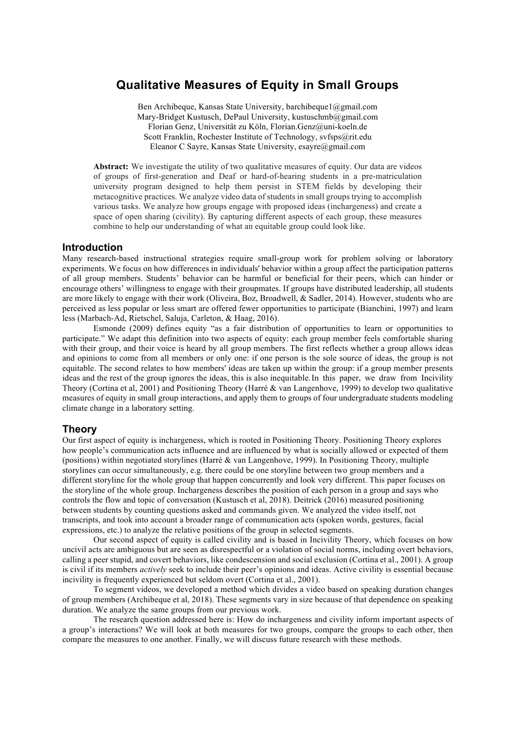# **Qualitative Measures of Equity in Small Groups**

Ben Archibeque, Kansas State University, barchibeque1@gmail.com Mary-Bridget Kustusch, DePaul University, kustuschmb@gmail.com Florian Genz, Universität zu Köln, Florian.Genz@uni-koeln.de Scott Franklin, Rochester Institute of Technology, svfsps@rit.edu Eleanor C Sayre, Kansas State University, esayre@gmail.com

**Abstract:** We investigate the utility of two qualitative measures of equity. Our data are videos of groups of first-generation and Deaf or hard-of-hearing students in a pre-matriculation university program designed to help them persist in STEM fields by developing their metacognitive practices. We analyze video data of students in small groups trying to accomplish various tasks. We analyze how groups engage with proposed ideas (inchargeness) and create a space of open sharing (civility). By capturing different aspects of each group, these measures combine to help our understanding of what an equitable group could look like.

### **Introduction**

Many research-based instructional strategies require small-group work for problem solving or laboratory experiments. We focus on how differences in individuals' behavior within a group affect the participation patterns of all group members. Students' behavior can be harmful or beneficial for their peers, which can hinder or encourage others' willingness to engage with their groupmates. If groups have distributed leadership, all students are more likely to engage with their work (Oliveira, Boz, Broadwell, & Sadler, 2014). However, students who are perceived as less popular or less smart are offered fewer opportunities to participate (Bianchini, 1997) and learn less (Marbach-Ad, Rietschel, Saluja, Carleton, & Haag, 2016).

Esmonde (2009) defines equity "as a fair distribution of opportunities to learn or opportunities to participate." We adapt this definition into two aspects of equity: each group member feels comfortable sharing with their group, and their voice is heard by all group members. The first reflects whether a group allows ideas and opinions to come from all members or only one: if one person is the sole source of ideas, the group is not equitable. The second relates to how members' ideas are taken up within the group: if a group member presents ideas and the rest of the group ignores the ideas, this is also inequitable.In this paper, we draw from Incivility Theory (Cortina et al, 2001) and Positioning Theory (Harré & van Langenhove, 1999) to develop two qualitative measures of equity in small group interactions, and apply them to groups of four undergraduate students modeling climate change in a laboratory setting.

#### **Theory**

Our first aspect of equity is inchargeness, which is rooted in Positioning Theory. Positioning Theory explores how people's communication acts influence and are influenced by what is socially allowed or expected of them (positions) within negotiated storylines (Harré & van Langenhove, 1999). In Positioning Theory, multiple storylines can occur simultaneously, e.g. there could be one storyline between two group members and a different storyline for the whole group that happen concurrently and look very different. This paper focuses on the storyline of the whole group. Inchargeness describes the position of each person in a group and says who controls the flow and topic of conversation (Kustusch et al, 2018). Deitrick (2016) measured positioning between students by counting questions asked and commands given. We analyzed the video itself, not transcripts, and took into account a broader range of communication acts (spoken words, gestures, facial expressions, etc.) to analyze the relative positions of the group in selected segments.

Our second aspect of equity is called civility and is based in Incivility Theory, which focuses on how uncivil acts are ambiguous but are seen as disrespectful or a violation of social norms, including overt behaviors, calling a peer stupid, and covert behaviors, like condescension and social exclusion (Cortina et al., 2001). A group is civil if its members *actively* seek to include their peer's opinions and ideas. Active civility is essential because incivility is frequently experienced but seldom overt (Cortina et al., 2001).

To segment videos, we developed a method which divides a video based on speaking duration changes of group members (Archibeque et al, 2018). These segments vary in size because of that dependence on speaking duration. We analyze the same groups from our previous work.

The research question addressed here is: How do inchargeness and civility inform important aspects of a group's interactions? We will look at both measures for two groups, compare the groups to each other, then compare the measures to one another. Finally, we will discuss future research with these methods.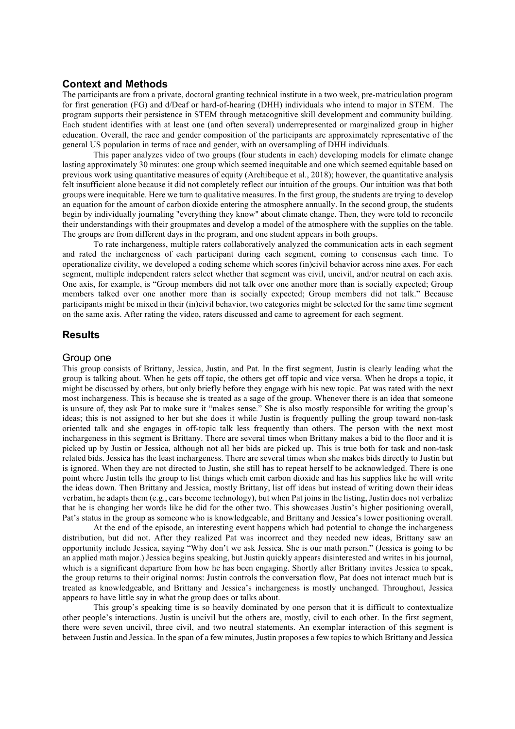### **Context and Methods**

The participants are from a private, doctoral granting technical institute in a two week, pre-matriculation program for first generation (FG) and d/Deaf or hard-of-hearing (DHH) individuals who intend to major in STEM. The program supports their persistence in STEM through metacognitive skill development and community building. Each student identifies with at least one (and often several) underrepresented or marginalized group in higher education. Overall, the race and gender composition of the participants are approximately representative of the general US population in terms of race and gender, with an oversampling of DHH individuals.

This paper analyzes video of two groups (four students in each) developing models for climate change lasting approximately 30 minutes: one group which seemed inequitable and one which seemed equitable based on previous work using quantitative measures of equity (Archibeque et al., 2018); however, the quantitative analysis felt insufficient alone because it did not completely reflect our intuition of the groups. Our intuition was that both groups were inequitable. Here we turn to qualitative measures. In the first group, the students are trying to develop an equation for the amount of carbon dioxide entering the atmosphere annually. In the second group, the students begin by individually journaling "everything they know" about climate change. Then, they were told to reconcile their understandings with their groupmates and develop a model of the atmosphere with the supplies on the table. The groups are from different days in the program, and one student appears in both groups.

To rate inchargeness, multiple raters collaboratively analyzed the communication acts in each segment and rated the inchargeness of each participant during each segment, coming to consensus each time. To operationalize civility, we developed a coding scheme which scores (in)civil behavior across nine axes. For each segment, multiple independent raters select whether that segment was civil, uncivil, and/or neutral on each axis. One axis, for example, is "Group members did not talk over one another more than is socially expected; Group members talked over one another more than is socially expected; Group members did not talk." Because participants might be mixed in their (in)civil behavior, two categories might be selected for the same time segment on the same axis. After rating the video, raters discussed and came to agreement for each segment.

#### **Results**

#### Group one

This group consists of Brittany, Jessica, Justin, and Pat. In the first segment, Justin is clearly leading what the group is talking about. When he gets off topic, the others get off topic and vice versa. When he drops a topic, it might be discussed by others, but only briefly before they engage with his new topic. Pat was rated with the next most inchargeness. This is because she is treated as a sage of the group. Whenever there is an idea that someone is unsure of, they ask Pat to make sure it "makes sense." She is also mostly responsible for writing the group's ideas; this is not assigned to her but she does it while Justin is frequently pulling the group toward non-task oriented talk and she engages in off-topic talk less frequently than others. The person with the next most inchargeness in this segment is Brittany. There are several times when Brittany makes a bid to the floor and it is picked up by Justin or Jessica, although not all her bids are picked up. This is true both for task and non-task related bids. Jessica has the least inchargeness. There are several times when she makes bids directly to Justin but is ignored. When they are not directed to Justin, she still has to repeat herself to be acknowledged. There is one point where Justin tells the group to list things which emit carbon dioxide and has his supplies like he will write the ideas down. Then Brittany and Jessica, mostly Brittany, list off ideas but instead of writing down their ideas verbatim, he adapts them (e.g., cars become technology), but when Pat joins in the listing, Justin does not verbalize that he is changing her words like he did for the other two. This showcases Justin's higher positioning overall, Pat's status in the group as someone who is knowledgeable, and Brittany and Jessica's lower positioning overall.

At the end of the episode, an interesting event happens which had potential to change the inchargeness distribution, but did not. After they realized Pat was incorrect and they needed new ideas, Brittany saw an opportunity include Jessica, saying "Why don't we ask Jessica. She is our math person." (Jessica is going to be an applied math major.) Jessica begins speaking, but Justin quickly appears disinterested and writes in his journal, which is a significant departure from how he has been engaging. Shortly after Brittany invites Jessica to speak, the group returns to their original norms: Justin controls the conversation flow, Pat does not interact much but is treated as knowledgeable, and Brittany and Jessica's inchargeness is mostly unchanged. Throughout, Jessica appears to have little say in what the group does or talks about.

This group's speaking time is so heavily dominated by one person that it is difficult to contextualize other people's interactions. Justin is uncivil but the others are, mostly, civil to each other. In the first segment, there were seven uncivil, three civil, and two neutral statements. An exemplar interaction of this segment is between Justin and Jessica. In the span of a few minutes, Justin proposes a few topics to which Brittany and Jessica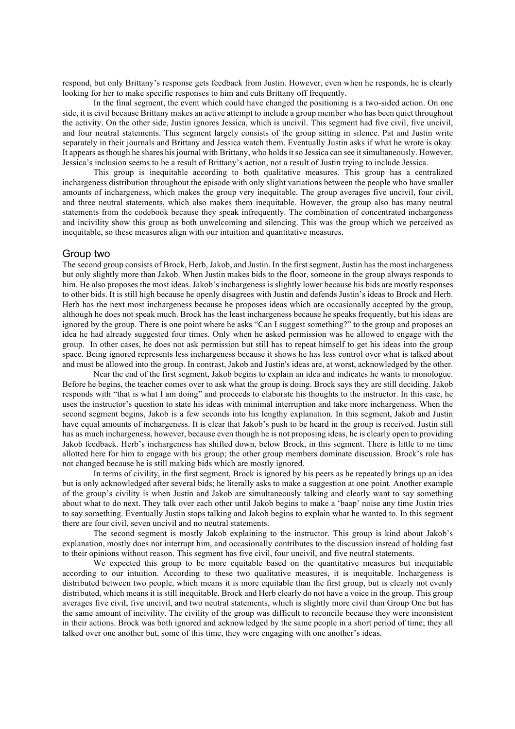respond, but only Brittany's response gets feedback from Justin. However, even when he responds, he is clearly looking for her to make specific responses to him and cuts Brittany off frequently.

In the final segment, the event which could have changed the positioning is a two-sided action. On one side, it is civil because Brittany makes an active attempt to include a group member who has been quiet throughout the activity. On the other side, Justin ignores Jessica, which is uncivil. This segment had five civil, five uncivil, and four neutral statements. This segment largely consists of the group sitting in silence. Pat and Justin write separately in their journals and Brittany and Jessica watch them. Eventually Justin asks if what he wrote is okay. It appears as though he shares his journal with Brittany, who holds it so Jessica can see it simultaneously. However, Jessica's inclusion seems to be a result of Brittany's action, not a result of Justin trying to include Jessica.

This group is inequitable according to both qualitative measures. This group has a centralized inchargeness distribution throughout the episode with only slight variations between the people who have smaller amounts of inchargeness, which makes the group very inequitable. The group averages five uncivil, four civil, and three neutral statements, which also makes them inequitable. However, the group also has many neutral statements from the codebook because they speak infrequently. The combination of concentrated inchargeness and incivility show this group as both unwelcoming and silencing. This was the group which we perceived as inequitable, so these measures align with our intuition and quantitative measures.

#### Group two

The second group consists of Brock, Herb, Jakob, and Justin. In the first segment, Justin has the most inchargeness but only slightly more than Jakob. When Justin makes bids to the floor, someone in the group always responds to him. He also proposes the most ideas. Jakob's inchargeness is slightly lower because his bids are mostly responses to other bids. It is still high because he openly disagrees with Justin and defends Justin's ideas to Brock and Herb. Herb has the next most inchargeness because he proposes ideas which are occasionally accepted by the group, although he does not speak much. Brock has the least inchargeness because he speaks frequently, but his ideas are ignored by the group. There is one point where he asks "Can I suggest something?" to the group and proposes an idea he had already suggested four times. Only when he asked permission was he allowed to engage with the group. In other cases, he does not ask permission but still has to repeat himself to get his ideas into the group space. Being ignored represents less inchargeness because it shows he has less control over what is talked about and must be allowed into the group. In contrast, Jakob and Justin's ideas are, at worst, acknowledged by the other.

Near the end of the first segment, Jakob begins to explain an idea and indicates he wants to monologue. Before he begins, the teacher comes over to ask what the group is doing. Brock says they are still deciding. Jakob responds with "that is what I am doing" and proceeds to elaborate his thoughts to the instructor. In this case, he uses the instructor's question to state his ideas with minimal interruption and take more inchargeness. When the second segment begins, Jakob is a few seconds into his lengthy explanation. In this segment, Jakob and Justin have equal amounts of inchargeness. It is clear that Jakob's push to be heard in the group is received. Justin still has as much inchargeness, however, because even though he is not proposing ideas, he is clearly open to providing Jakob feedback. Herb's inchargeness has shifted down, below Brock, in this segment. There is little to no time allotted here for him to engage with his group; the other group members dominate discussion. Brock's role has not changed because he is still making bids which are mostly ignored.

In terms of civility, in the first segment, Brock is ignored by his peers as he repeatedly brings up an idea but is only acknowledged after several bids; he literally asks to make a suggestion at one point. Another example of the group's civility is when Justin and Jakob are simultaneously talking and clearly want to say something about what to do next. They talk over each other until Jakob begins to make a 'baap' noise any time Justin tries to say something. Eventually Justin stops talking and Jakob begins to explain what he wanted to. In this segment there are four civil, seven uncivil and no neutral statements.

The second segment is mostly Jakob explaining to the instructor. This group is kind about Jakob's explanation, mostly does not interrupt him, and occasionally contributes to the discussion instead of holding fast to their opinions without reason. This segment has five civil, four uncivil, and five neutral statements.

We expected this group to be more equitable based on the quantitative measures but inequitable according to our intuition. According to these two qualitative measures, it is inequitable. Inchargeness is distributed between two people, which means it is more equitable than the first group, but is clearly not evenly distributed, which means it is still inequitable. Brock and Herb clearly do not have a voice in the group. This group averages five civil, five uncivil, and two neutral statements, which is slightly more civil than Group One but has the same amount of incivility. The civility of the group was difficult to reconcile because they were inconsistent in their actions. Brock was both ignored and acknowledged by the same people in a short period of time; they all talked over one another but, some of this time, they were engaging with one another's ideas.